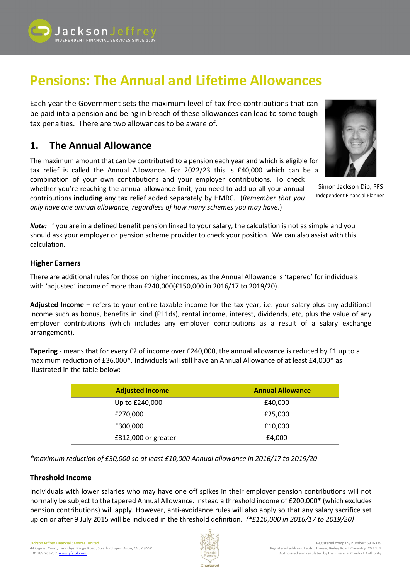

# **Pensions: The Annual and Lifetime Allowances**

Each year the Government sets the maximum level of tax-free contributions that can be paid into a pension and being in breach of these allowances can lead to some tough tax penalties. There are two allowances to be aware of.

# **1. The Annual Allowance**

The maximum amount that can be contributed to a pension each year and which is eligible for tax relief is called the Annual Allowance. For 2022/23 this is £40,000 which can be a combination of your own contributions and your employer contributions. To check

whether you're reaching the annual allowance limit, you need to add up all your annual contributions **including** any tax relief added separately by HMRC. (*Remember that you only have one annual allowance, regardless of how many schemes you may have.*)



Simon Jackson Dip, PFS Independent Financial Planner

*Note:* If you are in a defined benefit pension linked to your salary, the calculation is not as simple and you should ask your employer or pension scheme provider to check your position. We can also assist with this calculation.

#### **Higher Earners**

There are additional rules for those on higher incomes, as the Annual Allowance is 'tapered' for individuals with 'adjusted' income of more than £240,000(£150,000 in 2016/17 to 2019/20).

**Adjusted Income –** refers to your entire taxable income for the tax year, i.e. your salary plus any additional income such as bonus, benefits in kind (P11ds), rental income, interest, dividends, etc, plus the value of any employer contributions (which includes any employer contributions as a result of a salary exchange arrangement).

**Tapering** - means that for every £2 of income over £240,000, the annual allowance is reduced by £1 up to a maximum reduction of £36,000\*. Individuals will still have an Annual Allowance of at least £4,000\* as illustrated in the table below:

| <b>Adjusted Income</b> | <b>Annual Allowance</b> |
|------------------------|-------------------------|
| Up to £240,000         | £40,000                 |
| £270,000               | £25,000                 |
| £300,000               | £10,000                 |
| £312,000 or greater    | £4,000                  |

*\*maximum reduction of £30,000 so at least £10,000 Annual allowance in 2016/17 to 2019/20*

#### **Threshold Income**

Individuals with lower salaries who may have one off spikes in their employer pension contributions will not normally be subject to the tapered Annual Allowance. Instead a threshold income of £200,000\* (which excludes pension contributions) will apply. However, anti-avoidance rules will also apply so that any salary sacrifice set up on or after 9 July 2015 will be included in the threshold definition. *(\*£110,000 in 2016/17 to 2019/20)*

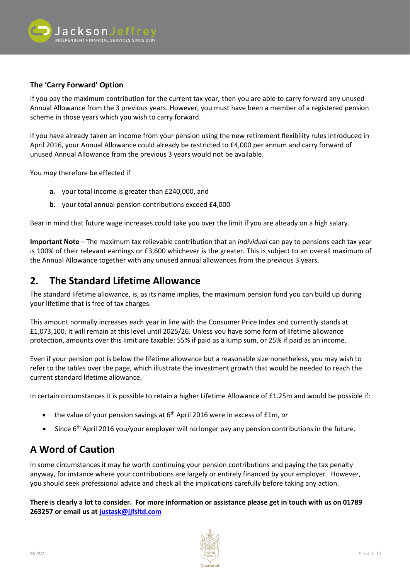

#### **The 'Carry Forward' Option**

If you pay the maximum contribution for the current tax year, then you are able to carry forward any unused Annual Allowance from the 3 previous years. However, you must have been a member of a registered pension scheme in those years which you wish to carry forward.

If you have already taken an income from your pension using the new retirement flexibility rules introduced in April 2016, your Annual Allowance could already be restricted to £4,000 per annum and carry forward of unused Annual Allowance from the previous 3 years would not be available.

You *may* therefore be effected if

- **a.** your total income is greater than £240,000, and
- **b.** your total annual pension contributions exceed £4,000

Bear in mind that future wage increases could take you over the limit if you are already on a high salary.

**Important Note** – The maximum tax relievable contribution that an *individual* can pay to pensions each tax year is 100% of their relevant earnings or £3,600 whichever is the greater. This is subject to an overall maximum of the Annual Allowance together with any unused annual allowances from the previous 3 years.

## **2. The Standard Lifetime Allowance**

The standard lifetime allowance, is, as its name implies, the maximum pension fund you can build up during your lifetime that is free of tax charges.

This amount normally increases each year in line with the Consumer Price Index and currently stands at £1,073,100. It will remain at this level until 2025/26. Unless you have some form of lifetime allowance protection, amounts over this limit are taxable: 55% if paid as a lump sum, or 25% if paid as an income.

Even if your pension pot is below the lifetime allowance but a reasonable size nonetheless, you may wish to refer to the tables over the page, which illustrate the investment growth that would be needed to reach the current standard lifetime allowance.

In certain circumstances it is possible to retain a higher Lifetime Allowance of £1.25m and would be possible if:

- the value of your pension savings at 6<sup>th</sup> April 2016 were in excess of £1m, *or*
- Since 6<sup>th</sup> April 2016 you/your employer will no longer pay any pension contributions in the future.

# **A Word of Caution**

In some circumstances it may be worth continuing your pension contributions and paying the tax penalty anyway, for instance where your contributions are largely or entirely financed by your employer. However, you should seek professional advice and check all the implications carefully before taking any action.

**There is clearly a lot to consider. For more information or assistance please get in touch with us on 01789 263257 or email us at [justask@jjfsltd.com](mailto:justask@jjfsltd.com)**

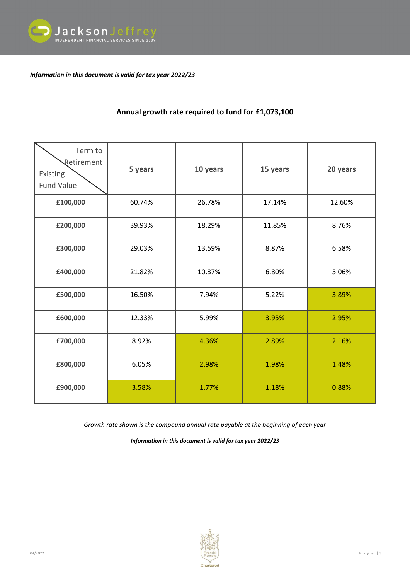

*Information in this document is valid for tax year 2022/23*

### **Annual growth rate required to fund for £1,073,100**

| Term to<br>Retirement<br>Existing<br><b>Fund Value</b> | 5 years | 10 years | 15 years | 20 years |
|--------------------------------------------------------|---------|----------|----------|----------|
| £100,000                                               | 60.74%  | 26.78%   | 17.14%   | 12.60%   |
| £200,000                                               | 39.93%  | 18.29%   | 11.85%   | 8.76%    |
| £300,000                                               | 29.03%  | 13.59%   | 8.87%    | 6.58%    |
| £400,000                                               | 21.82%  | 10.37%   | 6.80%    | 5.06%    |
| £500,000                                               | 16.50%  | 7.94%    | 5.22%    | 3.89%    |
| £600,000                                               | 12.33%  | 5.99%    | 3.95%    | 2.95%    |
| £700,000                                               | 8.92%   | 4.36%    | 2.89%    | 2.16%    |
| £800,000                                               | 6.05%   | 2.98%    | 1.98%    | 1.48%    |
| £900,000                                               | 3.58%   | 1.77%    | 1.18%    | 0.88%    |

*Growth rate shown is the compound annual rate payable at the beginning of each year*

*Information in this document is valid for tax year 2022/23*